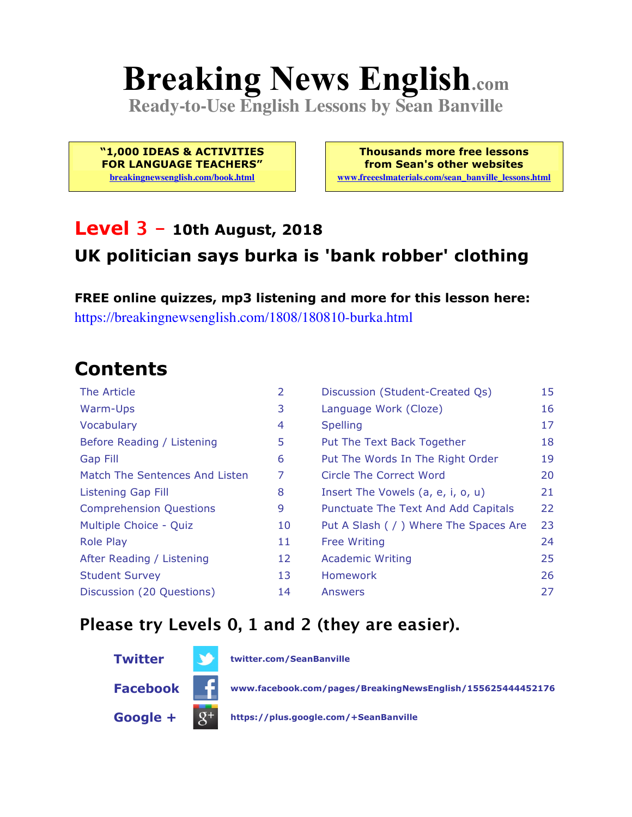# **Breaking News English.com**

**Ready-to-Use English Lessons by Sean Banville**

**"1,000 IDEAS & ACTIVITIES FOR LANGUAGE TEACHERS" breakingnewsenglish.com/book.html**

**Thousands more free lessons from Sean's other websites www.freeeslmaterials.com/sean\_banville\_lessons.html**

#### **Level 3 - 10th August, 2018 UK politician says burka is 'bank robber' clothing**

**FREE online quizzes, mp3 listening and more for this lesson here:** https://breakingnewsenglish.com/1808/180810-burka.html

### **Contents**

| The Article                    | 2  | Discussion (Student-Created Qs)        | 15 |
|--------------------------------|----|----------------------------------------|----|
| Warm-Ups                       | 3  | Language Work (Cloze)                  | 16 |
| Vocabulary                     | 4  | <b>Spelling</b>                        | 17 |
| Before Reading / Listening     | 5  | Put The Text Back Together             | 18 |
| <b>Gap Fill</b>                | 6  | Put The Words In The Right Order       | 19 |
| Match The Sentences And Listen | 7  | Circle The Correct Word                | 20 |
| Listening Gap Fill             | 8  | Insert The Vowels (a, e, i, o, u)      | 21 |
| <b>Comprehension Questions</b> | 9  | Punctuate The Text And Add Capitals    | 22 |
| Multiple Choice - Quiz         | 10 | Put A Slash ( / ) Where The Spaces Are | 23 |
| <b>Role Play</b>               | 11 | <b>Free Writing</b>                    | 24 |
| After Reading / Listening      | 12 | <b>Academic Writing</b>                | 25 |
| <b>Student Survey</b>          | 13 | <b>Homework</b>                        | 26 |
| Discussion (20 Questions)      | 14 | Answers                                | 27 |

#### **Please try Levels 0, 1 and 2 (they are easier).**

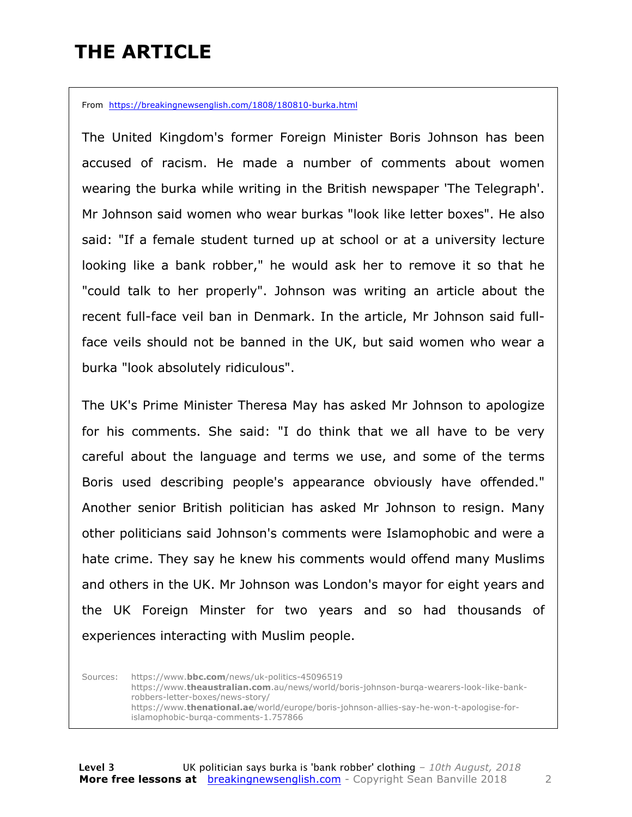### **THE ARTICLE**

From https://breakingnewsenglish.com/1808/180810-burka.html

The United Kingdom's former Foreign Minister Boris Johnson has been accused of racism. He made a number of comments about women wearing the burka while writing in the British newspaper 'The Telegraph'. Mr Johnson said women who wear burkas "look like letter boxes". He also said: "If a female student turned up at school or at a university lecture looking like a bank robber," he would ask her to remove it so that he "could talk to her properly". Johnson was writing an article about the recent full-face veil ban in Denmark. In the article, Mr Johnson said fullface veils should not be banned in the UK, but said women who wear a burka "look absolutely ridiculous".

The UK's Prime Minister Theresa May has asked Mr Johnson to apologize for his comments. She said: "I do think that we all have to be very careful about the language and terms we use, and some of the terms Boris used describing people's appearance obviously have offended." Another senior British politician has asked Mr Johnson to resign. Many other politicians said Johnson's comments were Islamophobic and were a hate crime. They say he knew his comments would offend many Muslims and others in the UK. Mr Johnson was London's mayor for eight years and the UK Foreign Minster for two years and so had thousands of experiences interacting with Muslim people.

Sources: https://www.**bbc.com**/news/uk-politics-45096519 https://www.**theaustralian.com**.au/news/world/boris-johnson-burqa-wearers-look-like-bankrobbers-letter-boxes/news-story/ https://www.**thenational.ae**/world/europe/boris-johnson-allies-say-he-won-t-apologise-forislamophobic-burqa-comments-1.757866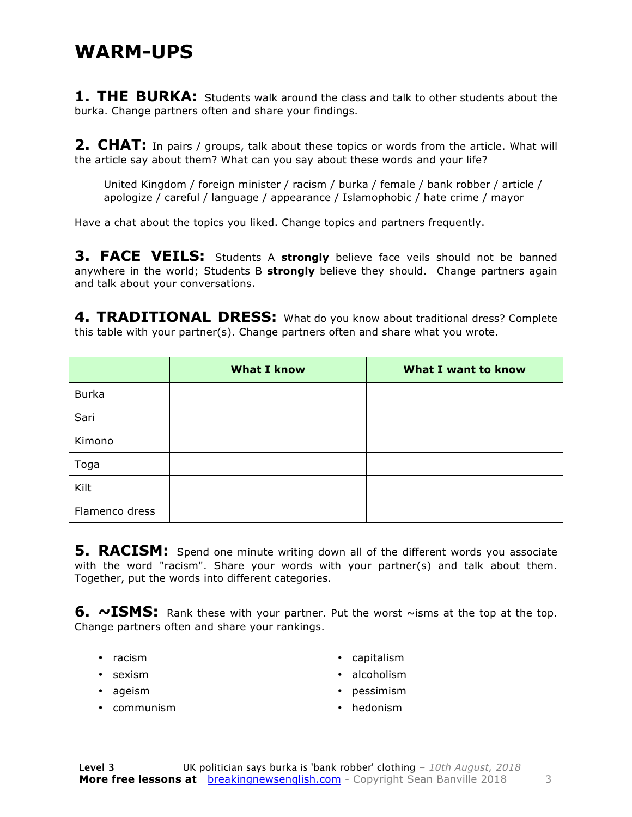#### **WARM-UPS**

**1. THE BURKA:** Students walk around the class and talk to other students about the burka. Change partners often and share your findings.

**2. CHAT:** In pairs / groups, talk about these topics or words from the article. What will the article say about them? What can you say about these words and your life?

United Kingdom / foreign minister / racism / burka / female / bank robber / article / apologize / careful / language / appearance / Islamophobic / hate crime / mayor

Have a chat about the topics you liked. Change topics and partners frequently.

**3. FACE VEILS:** Students A strongly believe face veils should not be banned anywhere in the world; Students B **strongly** believe they should. Change partners again and talk about your conversations.

**4. TRADITIONAL DRESS:** What do you know about traditional dress? Complete this table with your partner(s). Change partners often and share what you wrote.

|                | <b>What I know</b> | <b>What I want to know</b> |
|----------------|--------------------|----------------------------|
| <b>Burka</b>   |                    |                            |
| Sari           |                    |                            |
| Kimono         |                    |                            |
| Toga           |                    |                            |
| Kilt           |                    |                            |
| Flamenco dress |                    |                            |

**5. RACISM:** Spend one minute writing down all of the different words you associate with the word "racism". Share your words with your partner(s) and talk about them. Together, put the words into different categories.

6. ~ISMS: Rank these with your partner. Put the worst ~isms at the top at the top. Change partners often and share your rankings.

- racism
- sexism
- ageism
- communism
- capitalism
- alcoholism
- pessimism
- hedonism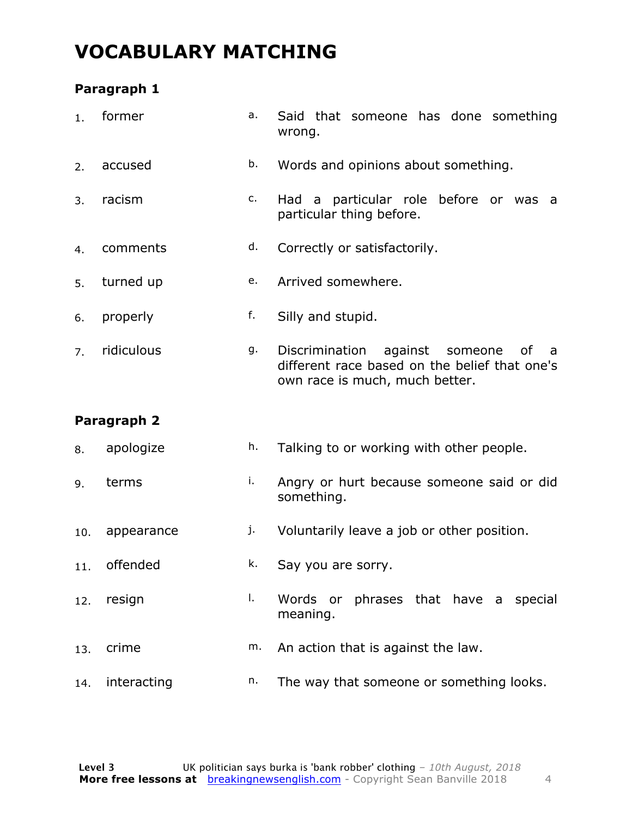### **VOCABULARY MATCHING**

#### **Paragraph 1**

| 1.  | former      | а. | Said that someone has done something<br>wrong.                                                                                     |
|-----|-------------|----|------------------------------------------------------------------------------------------------------------------------------------|
| 2.  | accused     | b. | Words and opinions about something.                                                                                                |
| 3.  | racism      | c. | Had a particular role before or was<br>a -<br>particular thing before.                                                             |
| 4.  | comments    | d. | Correctly or satisfactorily.                                                                                                       |
| 5.  | turned up   | e. | Arrived somewhere.                                                                                                                 |
| 6.  | properly    | f. | Silly and stupid.                                                                                                                  |
| 7.  | ridiculous  | g. | Discrimination<br>against<br>someone<br>οf<br>a<br>different race based on the belief that one's<br>own race is much, much better. |
|     |             |    |                                                                                                                                    |
|     | Paragraph 2 |    |                                                                                                                                    |
| 8.  | apologize   | h. | Talking to or working with other people.                                                                                           |
| 9.  | terms       | i. | Angry or hurt because someone said or did<br>something.                                                                            |
| 10. | appearance  | j. | Voluntarily leave a job or other position.                                                                                         |
| 11. | offended    | k. | Say you are sorry.                                                                                                                 |
| 12. | resign      | I. | Words or phrases that have a special<br>meaning.                                                                                   |
| 13. | crime       | m. | An action that is against the law.                                                                                                 |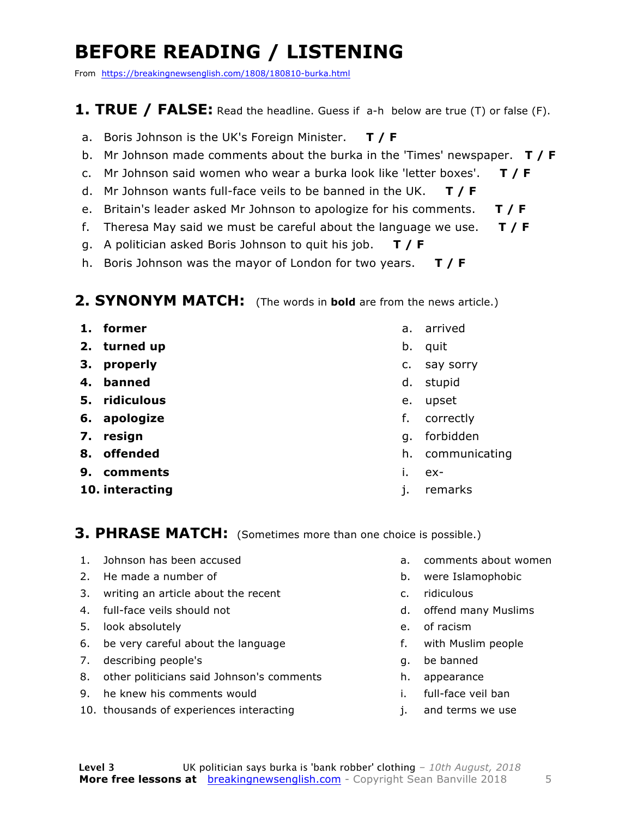### **BEFORE READING / LISTENING**

From https://breakingnewsenglish.com/1808/180810-burka.html

#### **1. TRUE / FALSE:** Read the headline. Guess if a-h below are true (T) or false (F).

- a. Boris Johnson is the UK's Foreign Minister. **T / F**
- b. Mr Johnson made comments about the burka in the 'Times' newspaper. **T / F**
- c. Mr Johnson said women who wear a burka look like 'letter boxes'. **T / F**
- d. Mr Johnson wants full-face veils to be banned in the UK. **T / F**
- e. Britain's leader asked Mr Johnson to apologize for his comments. **T / F**
- f. Theresa May said we must be careful about the language we use. **T / F**
- g. A politician asked Boris Johnson to quit his job. **T / F**
- h. Boris Johnson was the mayor of London for two years. **T / F**

#### **2. SYNONYM MATCH:** (The words in **bold** are from the news article.)

- **1. former**
- **2. turned up**
- **3. properly**
- **4. banned**
- **5. ridiculous**
- **6. apologize**
- **7. resign**
- **8. offended**
- **9. comments**
- **10. interacting**
- a. arrived
- b. quit
- c. say sorry
- d. stupid
- e. upset
- f. correctly
- g. forbidden
- h. communicating
- i. ex-
- j. remarks

#### **3. PHRASE MATCH:** (Sometimes more than one choice is possible.)

- 1. Johnson has been accused
- 2. He made a number of
- 3. writing an article about the recent
- 4. full-face veils should not
- 5. look absolutely
- 6. be very careful about the language
- 7. describing people's
- 8. other politicians said Johnson's comments
- 9. he knew his comments would
- 10. thousands of experiences interacting
- a. comments about women
- b. were Islamophobic
- c. ridiculous
- d. offend many Muslims
- e. of racism
- f. with Muslim people
- g. be banned
- h. appearance
- i. full-face veil ban
- j. and terms we use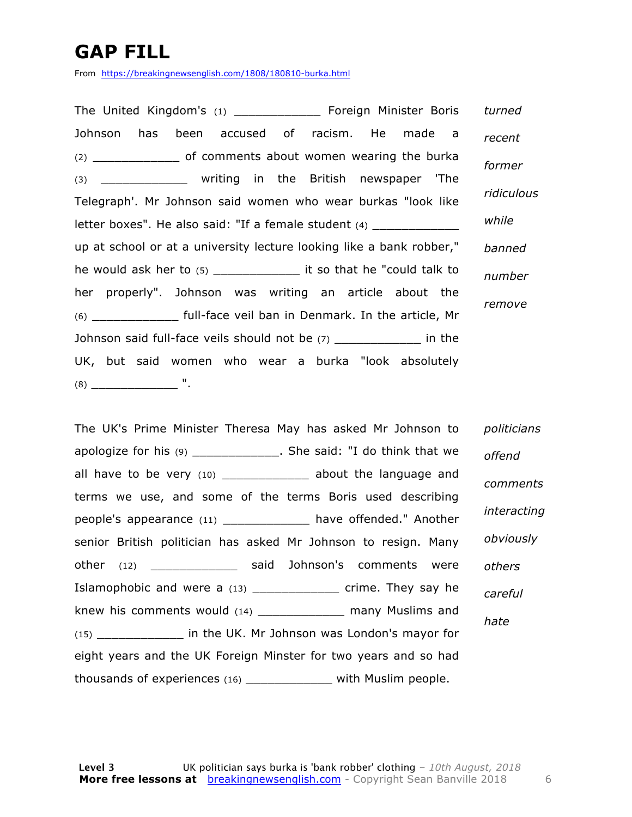### **GAP FILL**

From https://breakingnewsenglish.com/1808/180810-burka.html

The United Kingdom's (1) \_\_\_\_\_\_\_\_\_\_\_\_ Foreign Minister Boris Johnson has been accused of racism. He made a (2) \_\_\_\_\_\_\_\_\_\_\_\_ of comments about women wearing the burka (3) \_\_\_\_\_\_\_\_\_\_\_\_ writing in the British newspaper 'The Telegraph'. Mr Johnson said women who wear burkas "look like letter boxes". He also said: "If a female student (4) up at school or at a university lecture looking like a bank robber," he would ask her to (5) \_\_\_\_\_\_\_\_\_\_\_\_ it so that he "could talk to her properly". Johnson was writing an article about the (6) \_\_\_\_\_\_\_\_\_\_\_\_ full-face veil ban in Denmark. In the article, Mr Johnson said full-face veils should not be (7) \_\_\_\_\_\_\_\_\_\_\_\_ in the UK, but said women who wear a burka "look absolutely (8) \_\_\_\_\_\_\_\_\_\_\_\_ ". *turned recent former ridiculous while banned number remove*

The UK's Prime Minister Theresa May has asked Mr Johnson to apologize for his (9) \_\_\_\_\_\_\_\_\_\_\_\_. She said: "I do think that we all have to be very (10) \_\_\_\_\_\_\_\_\_\_\_\_\_ about the language and terms we use, and some of the terms Boris used describing people's appearance (11) \_\_\_\_\_\_\_\_\_\_\_\_ have offended." Another senior British politician has asked Mr Johnson to resign. Many other (12) **Said Johnson's comments were** Islamophobic and were a (13) \_\_\_\_\_\_\_\_\_\_\_\_\_\_ crime. They say he knew his comments would (14) \_\_\_\_\_\_\_\_\_\_\_\_\_\_ many Muslims and (15) \_\_\_\_\_\_\_\_\_\_\_\_ in the UK. Mr Johnson was London's mayor for eight years and the UK Foreign Minster for two years and so had thousands of experiences (16) \_\_\_\_\_\_\_\_\_\_\_\_ with Muslim people. *politicians offend comments interacting obviously others careful hate*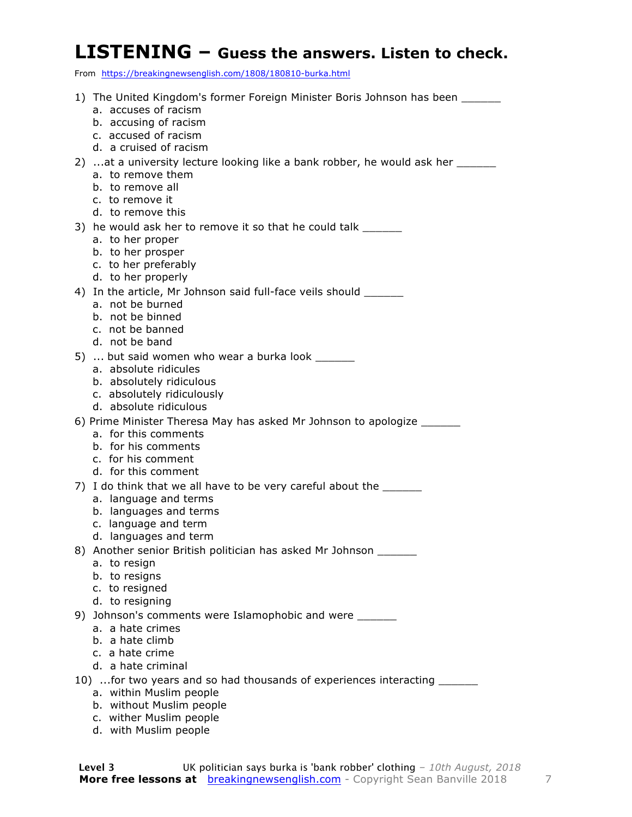#### **LISTENING – Guess the answers. Listen to check.**

From https://breakingnewsenglish.com/1808/180810-burka.html

| 1) The United Kingdom's former Foreign Minister Boris Johnson has been                    |
|-------------------------------------------------------------------------------------------|
| a. accuses of racism                                                                      |
| b. accusing of racism<br>c. accused of racism                                             |
| d. a cruised of racism                                                                    |
| 2) at a university lecture looking like a bank robber, he would ask her                   |
| a. to remove them                                                                         |
| b. to remove all<br>c. to remove it                                                       |
| d. to remove this                                                                         |
| 3) he would ask her to remove it so that he could talk ______                             |
| a. to her proper                                                                          |
| b. to her prosper                                                                         |
| c. to her preferably<br>d. to her properly                                                |
| 4) In the article, Mr Johnson said full-face veils should _______                         |
| a. not be burned                                                                          |
| b. not be binned                                                                          |
| c. not be banned<br>d. not be band                                                        |
| 5)  but said women who wear a burka look ______                                           |
| a. absolute ridicules                                                                     |
| b. absolutely ridiculous                                                                  |
| c. absolutely ridiculously<br>d. absolute ridiculous                                      |
| 6) Prime Minister Theresa May has asked Mr Johnson to apologize _______                   |
| a. for this comments                                                                      |
| b. for his comments                                                                       |
| c. for his comment<br>d. for this comment                                                 |
| 7) I do think that we all have to be very careful about the _______                       |
| a. language and terms                                                                     |
| b. languages and terms                                                                    |
| c. language and term                                                                      |
| d. languages and term<br>8) Another senior British politician has asked Mr Johnson ______ |
| a. to resign                                                                              |
| b. to resigns                                                                             |
| c. to resigned<br>d. to resigning                                                         |
| 9) Johnson's comments were Islamophobic and were ______                                   |
| a. a hate crimes                                                                          |
| b. a hate climb                                                                           |
| c. a hate crime<br>d. a hate criminal                                                     |
| 10) for two years and so had thousands of experiences interacting ______                  |
| a. within Muslim people                                                                   |
| b. without Muslim people                                                                  |
| c. wither Muslim people                                                                   |

d. with Muslim people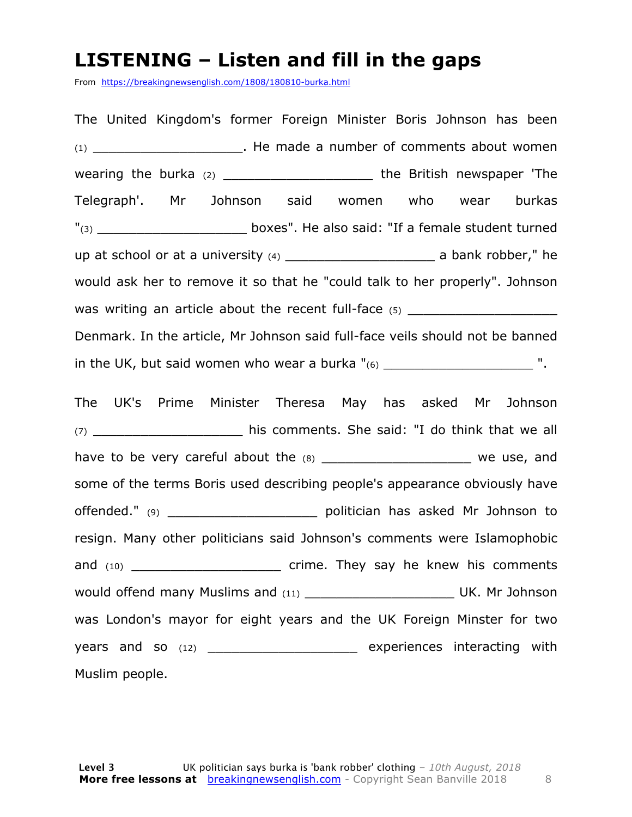#### **LISTENING – Listen and fill in the gaps**

From https://breakingnewsenglish.com/1808/180810-burka.html

The United Kingdom's former Foreign Minister Boris Johnson has been (1) \_\_\_\_\_\_\_\_\_\_\_\_\_\_\_\_\_\_\_. He made a number of comments about women wearing the burka (2) \_\_\_\_\_\_\_\_\_\_\_\_\_\_\_\_\_\_\_\_\_\_\_\_\_\_\_ the British newspaper 'The Telegraph'. Mr Johnson said women who wear burkas "(3) The also said: "If a female student turned boxes". He also said: "If a female student turned up at school or at a university  $(4)$  a bank robber," he would ask her to remove it so that he "could talk to her properly". Johnson was writing an article about the recent full-face  $(5)$ Denmark. In the article, Mr Johnson said full-face veils should not be banned in the UK, but said women who wear a burka  $"_{(6)}$  and the UK, but said women who wear a burka  $"_{(6)}$ The UK's Prime Minister Theresa May has asked Mr Johnson (7) **his comments. She said: "I do think that we all** have to be very careful about the  $(8)$  and  $(9)$  we use, and some of the terms Boris used describing people's appearance obviously have offended." (9) **butter of the set of the politician has asked Mr Johnson to** resign. Many other politicians said Johnson's comments were Islamophobic and (10) **and (10)** crime. They say he knew his comments would offend many Muslims and (11) \_\_\_\_\_\_\_\_\_\_\_\_\_\_\_\_\_\_\_ UK. Mr Johnson was London's mayor for eight years and the UK Foreign Minster for two years and so (12) **Experiences** interacting with Muslim people.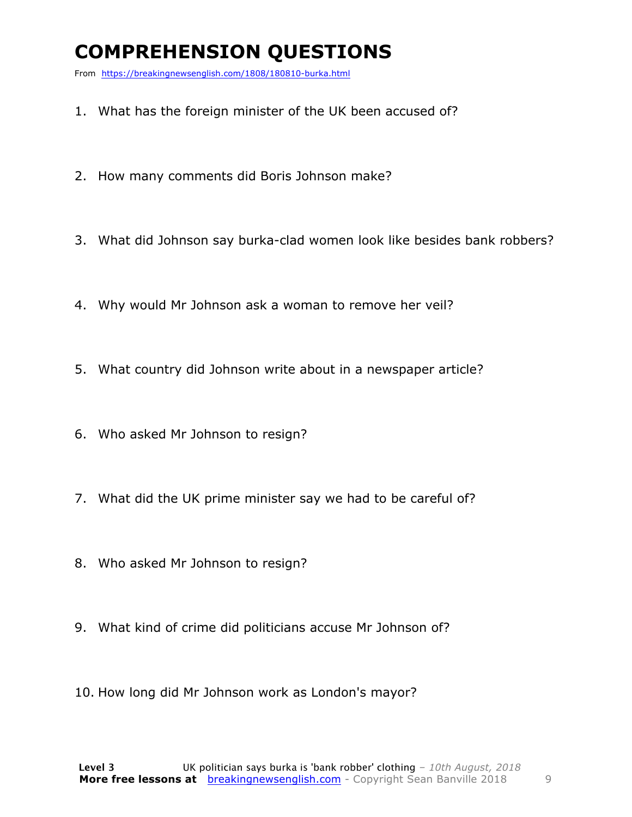### **COMPREHENSION QUESTIONS**

From https://breakingnewsenglish.com/1808/180810-burka.html

- 1. What has the foreign minister of the UK been accused of?
- 2. How many comments did Boris Johnson make?
- 3. What did Johnson say burka-clad women look like besides bank robbers?
- 4. Why would Mr Johnson ask a woman to remove her veil?
- 5. What country did Johnson write about in a newspaper article?
- 6. Who asked Mr Johnson to resign?
- 7. What did the UK prime minister say we had to be careful of?
- 8. Who asked Mr Johnson to resign?
- 9. What kind of crime did politicians accuse Mr Johnson of?
- 10. How long did Mr Johnson work as London's mayor?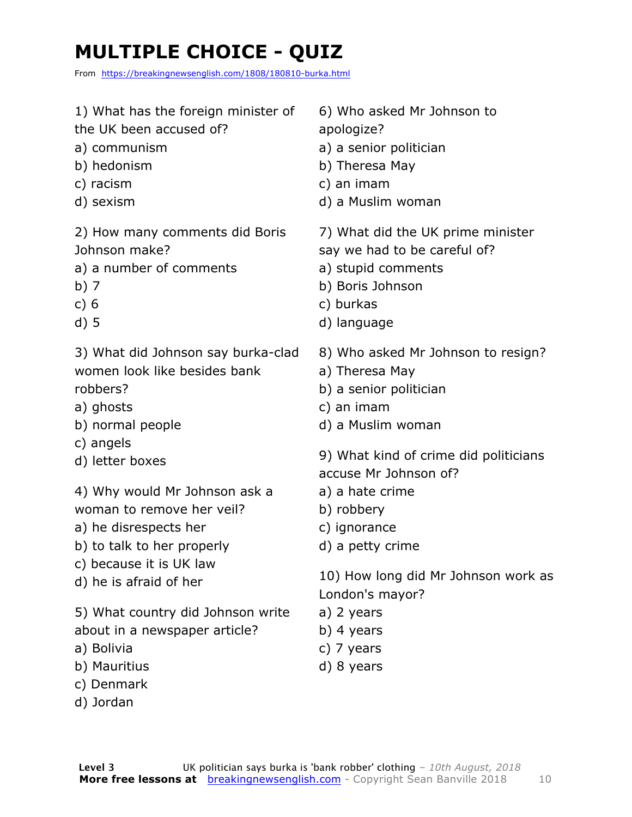## **MULTIPLE CHOICE - QUIZ**

From https://breakingnewsenglish.com/1808/180810-burka.html

| 1) What has the foreign minister of<br>the UK been accused of?<br>a) communism<br>b) hedonism<br>c) racism<br>d) sexism | 6) Who asked Mr Johnson to<br>apologize?<br>a) a senior politician<br>b) Theresa May<br>c) an imam<br>d) a Muslim woman                 |
|-------------------------------------------------------------------------------------------------------------------------|-----------------------------------------------------------------------------------------------------------------------------------------|
| 2) How many comments did Boris<br>Johnson make?<br>a) a number of comments<br>b) $7$<br>c) 6<br>$d)$ 5                  | 7) What did the UK prime minister<br>say we had to be careful of?<br>a) stupid comments<br>b) Boris Johnson<br>c) burkas<br>d) language |
| 3) What did Johnson say burka-clad<br>women look like besides bank<br>robbers?<br>a) ghosts<br>b) normal people         | 8) Who asked Mr Johnson to resign?<br>a) Theresa May<br>b) a senior politician<br>c) an imam<br>d) a Muslim woman                       |
| c) angels<br>d) letter boxes                                                                                            | 9) What kind of crime did politicians<br>accuse Mr Johnson of?                                                                          |
| 4) Why would Mr Johnson ask a                                                                                           | a) a hate crime                                                                                                                         |
| woman to remove her veil?                                                                                               | b) robbery                                                                                                                              |
| a) he disrespects her                                                                                                   | c) ignorance                                                                                                                            |
| b) to talk to her properly                                                                                              | d) a petty crime                                                                                                                        |
| c) because it is UK law                                                                                                 | 10) How long did Mr Johnson work as                                                                                                     |
| d) he is afraid of her                                                                                                  | London's mayor?                                                                                                                         |
| 5) What country did Johnson write                                                                                       | a) 2 years                                                                                                                              |
| about in a newspaper article?                                                                                           | b) 4 years                                                                                                                              |
| a) Bolivia                                                                                                              | c) 7 years                                                                                                                              |
| b) Mauritius                                                                                                            | d) 8 years                                                                                                                              |
| c) Denmark                                                                                                              |                                                                                                                                         |
| d) Jordan                                                                                                               |                                                                                                                                         |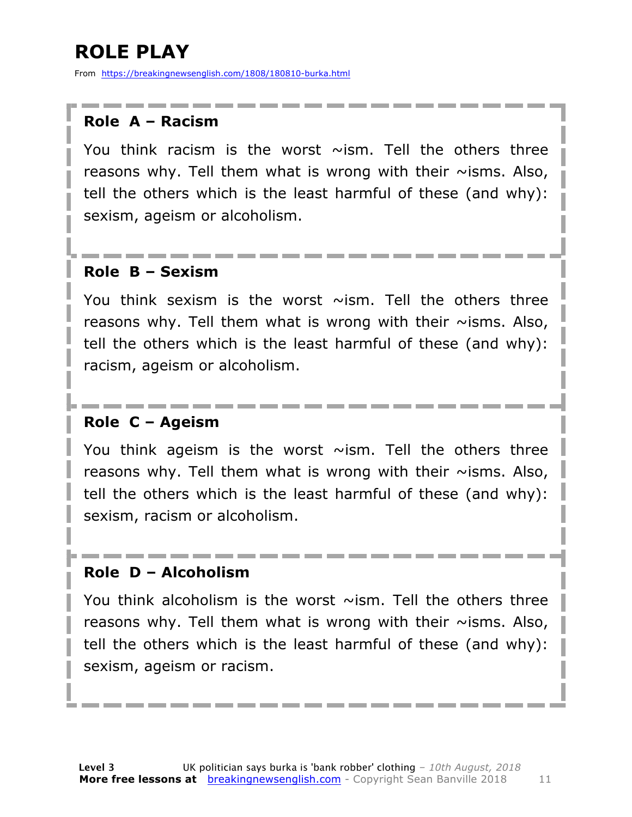### **ROLE PLAY**

From https://breakingnewsenglish.com/1808/180810-burka.html

#### **Role A – Racism**

You think racism is the worst  $\sim$ ism. Tell the others three reasons why. Tell them what is wrong with their  $\sim$ isms. Also, tell the others which is the least harmful of these (and why): sexism, ageism or alcoholism.

#### **Role B – Sexism**

You think sexism is the worst  $\sim$ ism. Tell the others three reasons why. Tell them what is wrong with their  $\sim$ isms. Also, tell the others which is the least harmful of these (and why): racism, ageism or alcoholism.

#### **Role C – Ageism**

You think ageism is the worst  $\sim$ ism. Tell the others three reasons why. Tell them what is wrong with their  $\sim$ isms. Also, tell the others which is the least harmful of these (and why): sexism, racism or alcoholism.

#### **Role D – Alcoholism**

You think alcoholism is the worst  $\sim$ ism. Tell the others three reasons why. Tell them what is wrong with their  $\sim$ isms. Also, tell the others which is the least harmful of these (and why): sexism, ageism or racism.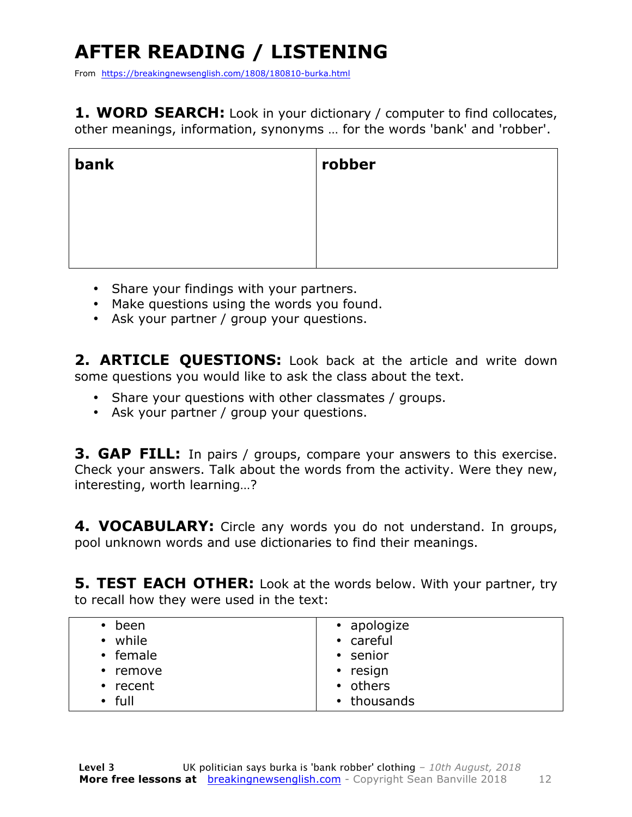## **AFTER READING / LISTENING**

From https://breakingnewsenglish.com/1808/180810-burka.html

**1. WORD SEARCH:** Look in your dictionary / computer to find collocates, other meanings, information, synonyms … for the words 'bank' and 'robber'.

| bank | robber |
|------|--------|
|      |        |
|      |        |
|      |        |

- Share your findings with your partners.
- Make questions using the words you found.
- Ask your partner / group your questions.

2. **ARTICLE QUESTIONS:** Look back at the article and write down some questions you would like to ask the class about the text.

- Share your questions with other classmates / groups.
- Ask your partner / group your questions.

**3. GAP FILL:** In pairs / groups, compare your answers to this exercise. Check your answers. Talk about the words from the activity. Were they new, interesting, worth learning…?

**4. VOCABULARY:** Circle any words you do not understand. In groups, pool unknown words and use dictionaries to find their meanings.

**5. TEST EACH OTHER:** Look at the words below. With your partner, try to recall how they were used in the text:

| been           | • apologize |
|----------------|-------------|
| • while        | • careful   |
| • female       | • senior    |
| $\cdot$ remove | • resign    |
| $\cdot$ recent | • others    |
| $\cdot$ full   | • thousands |
|                |             |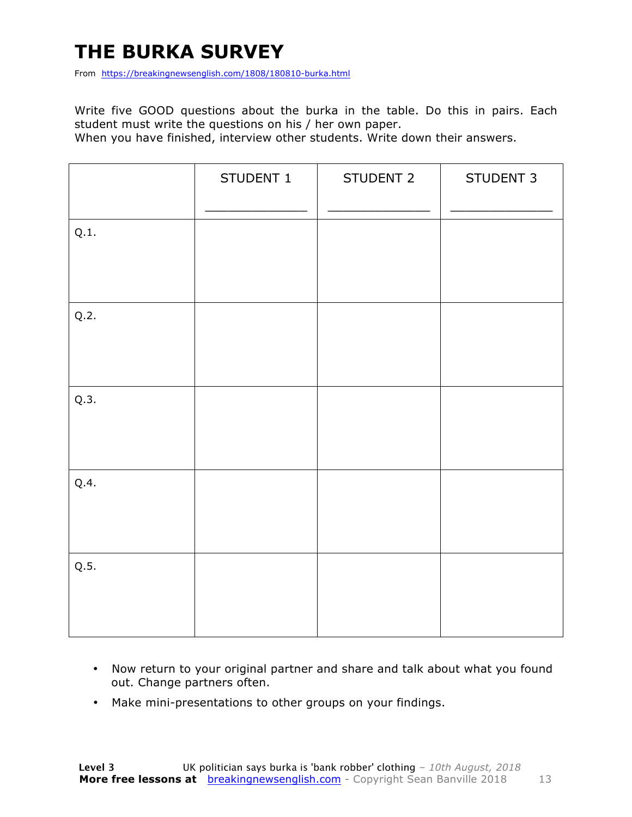### **THE BURKA SURVEY**

From https://breakingnewsenglish.com/1808/180810-burka.html

Write five GOOD questions about the burka in the table. Do this in pairs. Each student must write the questions on his / her own paper.

When you have finished, interview other students. Write down their answers.

|      | STUDENT 1 | STUDENT 2 | STUDENT 3 |
|------|-----------|-----------|-----------|
| Q.1. |           |           |           |
| Q.2. |           |           |           |
| Q.3. |           |           |           |
| Q.4. |           |           |           |
| Q.5. |           |           |           |

- Now return to your original partner and share and talk about what you found out. Change partners often.
- Make mini-presentations to other groups on your findings.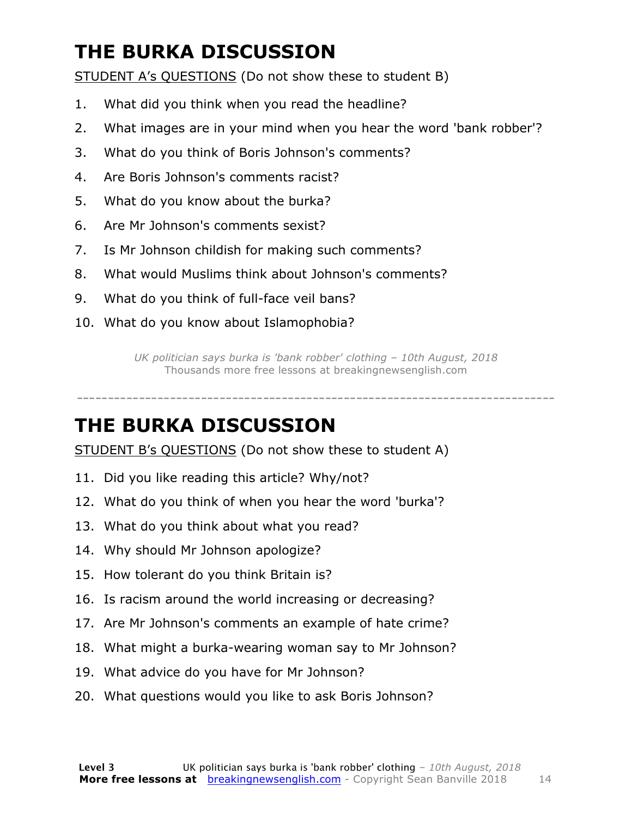### **THE BURKA DISCUSSION**

STUDENT A's QUESTIONS (Do not show these to student B)

- 1. What did you think when you read the headline?
- 2. What images are in your mind when you hear the word 'bank robber'?
- 3. What do you think of Boris Johnson's comments?
- 4. Are Boris Johnson's comments racist?
- 5. What do you know about the burka?
- 6. Are Mr Johnson's comments sexist?
- 7. Is Mr Johnson childish for making such comments?
- 8. What would Muslims think about Johnson's comments?
- 9. What do you think of full-face veil bans?
- 10. What do you know about Islamophobia?

*UK politician says burka is 'bank robber' clothing – 10th August, 2018* Thousands more free lessons at breakingnewsenglish.com

-----------------------------------------------------------------------------

#### **THE BURKA DISCUSSION**

STUDENT B's QUESTIONS (Do not show these to student A)

- 11. Did you like reading this article? Why/not?
- 12. What do you think of when you hear the word 'burka'?
- 13. What do you think about what you read?
- 14. Why should Mr Johnson apologize?
- 15. How tolerant do you think Britain is?
- 16. Is racism around the world increasing or decreasing?
- 17. Are Mr Johnson's comments an example of hate crime?
- 18. What might a burka-wearing woman say to Mr Johnson?
- 19. What advice do you have for Mr Johnson?
- 20. What questions would you like to ask Boris Johnson?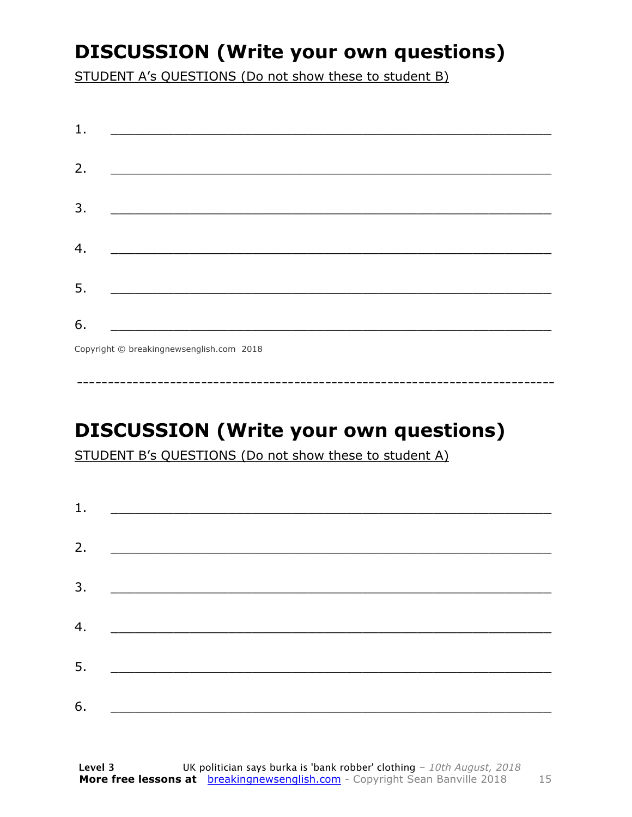### **DISCUSSION (Write your own questions)**

STUDENT A's QUESTIONS (Do not show these to student B)

| 1. | <u> 1980 - Andrea Stationer, fransk politiker (d. 1980)</u>                                                          |  |
|----|----------------------------------------------------------------------------------------------------------------------|--|
| 2. |                                                                                                                      |  |
| 3. | <u> 2000 - Johann John Stein, market fra de france foar de ferskearre fan de ferskearre fan de ferskearre fan de</u> |  |
| 4. | <u> 1989 - Johann Stein, marwolaethau a bh</u>                                                                       |  |
| 5. | <u> 2002 - Jan James James Barnett, militar film eta aldean errora (h. 1878).</u>                                    |  |
| 6. |                                                                                                                      |  |
|    | $\sigma$ $\cdots$ $\sigma$ $\cdots$ $\cdots$ $\cdots$ $\sigma$                                                       |  |

Copyright © breakingnewsenglish.com 2018

### **DISCUSSION (Write your own questions)**

STUDENT B's QUESTIONS (Do not show these to student A)

| 1. |                                                             |  |
|----|-------------------------------------------------------------|--|
| 2. |                                                             |  |
|    |                                                             |  |
| 3. |                                                             |  |
| 4. | <u> 1980 - Johann Barn, mars and de Brasilian (b. 1980)</u> |  |
| 5. | <u> 1980 - Jan Alexandro Alexandro III (m. 1980)</u>        |  |
| 6. |                                                             |  |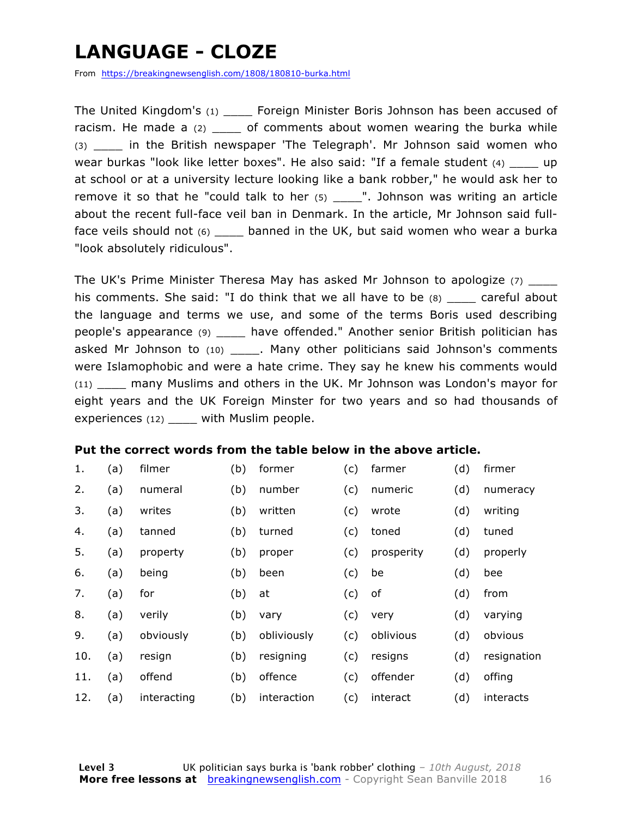### **LANGUAGE - CLOZE**

From https://breakingnewsenglish.com/1808/180810-burka.html

The United Kingdom's (1) Foreign Minister Boris Johnson has been accused of racism. He made a  $(2)$  \_\_\_\_\_ of comments about women wearing the burka while (3) \_\_\_\_ in the British newspaper 'The Telegraph'. Mr Johnson said women who wear burkas "look like letter boxes". He also said: "If a female student (4) up at school or at a university lecture looking like a bank robber," he would ask her to remove it so that he "could talk to her  $(5)$  \_\_\_\_". Johnson was writing an article about the recent full-face veil ban in Denmark. In the article, Mr Johnson said fullface veils should not (6) \_\_\_\_\_ banned in the UK, but said women who wear a burka "look absolutely ridiculous".

The UK's Prime Minister Theresa May has asked Mr Johnson to apologize (7) \_\_\_\_ his comments. She said: "I do think that we all have to be  $(8)$  careful about the language and terms we use, and some of the terms Boris used describing people's appearance (9) \_\_\_\_ have offended." Another senior British politician has asked Mr Johnson to (10) \_\_\_\_\_\_. Many other politicians said Johnson's comments were Islamophobic and were a hate crime. They say he knew his comments would (11) \_\_\_\_ many Muslims and others in the UK. Mr Johnson was London's mayor for eight years and the UK Foreign Minster for two years and so had thousands of experiences (12) \_\_\_\_ with Muslim people.

#### **Put the correct words from the table below in the above article.**

| 1.  | (a) | filmer      | (b) | former      | (c) | farmer     | (d) | firmer      |
|-----|-----|-------------|-----|-------------|-----|------------|-----|-------------|
| 2.  | (a) | numeral     | (b) | number      | (c) | numeric    | (d) | numeracy    |
| 3.  | (a) | writes      | (b) | written     | (c) | wrote      | (d) | writing     |
| 4.  | (a) | tanned      | (b) | turned      | (c) | toned      | (d) | tuned       |
| 5.  | (a) | property    | (b) | proper      | (c) | prosperity | (d) | properly    |
| 6.  | (a) | being       | (b) | been        | (c) | be         | (d) | bee         |
| 7.  | (a) | for         | (b) | at          | (c) | οf         | (d) | from        |
| 8.  | (a) | verily      | (b) | vary        | (c) | very       | (d) | varying     |
| 9.  | (a) | obviously   | (b) | obliviously | (c) | oblivious  | (d) | obvious     |
| 10. | (a) | resign      | (b) | resigning   | (c) | resigns    | (d) | resignation |
| 11. | (a) | offend      | (b) | offence     | (c) | offender   | (d) | offing      |
| 12. | (a) | interacting | (b) | interaction | (c) | interact   | (d) | interacts   |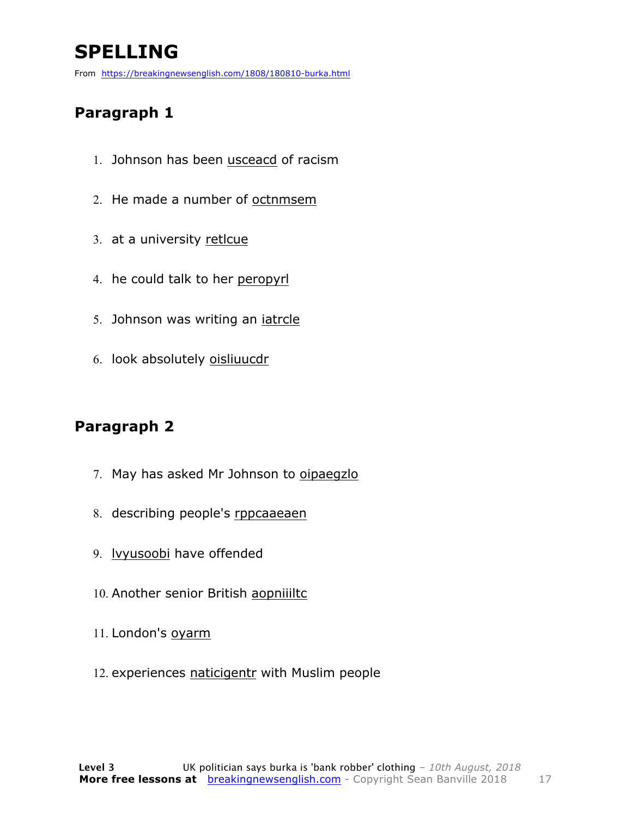### **SPELLING**

From https://breakingnewsenglish.com/1808/180810-burka.html

#### **Paragraph 1**

- 1. Johnson has been usceacd of racism
- 2. He made a number of octnmsem
- 3. at a university retlcue
- 4. he could talk to her peropyrl
- 5. Johnson was writing an iatrcle
- 6. look absolutely oisliuucdr

#### **Paragraph 2**

- 7. May has asked Mr Johnson to oipaegzlo
- 8. describing people's rppcaaeaen
- 9. lvyusoobi have offended
- 10. Another senior British aopniiiltc
- 11. London's oyarm
- 12. experiences naticigentr with Muslim people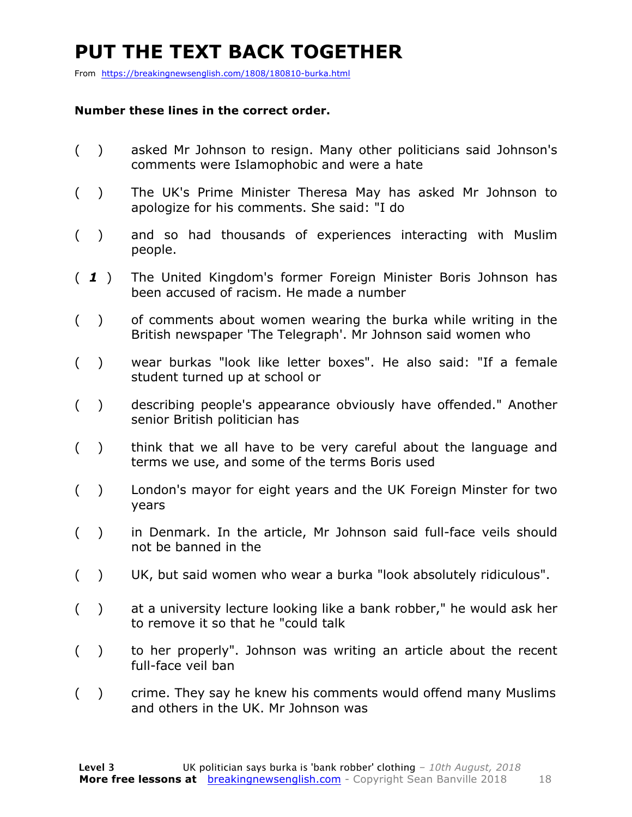### **PUT THE TEXT BACK TOGETHER**

From https://breakingnewsenglish.com/1808/180810-burka.html

#### **Number these lines in the correct order.**

- ( ) asked Mr Johnson to resign. Many other politicians said Johnson's comments were Islamophobic and were a hate
- ( ) The UK's Prime Minister Theresa May has asked Mr Johnson to apologize for his comments. She said: "I do
- ( ) and so had thousands of experiences interacting with Muslim people.
- ( *1* ) The United Kingdom's former Foreign Minister Boris Johnson has been accused of racism. He made a number
- ( ) of comments about women wearing the burka while writing in the British newspaper 'The Telegraph'. Mr Johnson said women who
- ( ) wear burkas "look like letter boxes". He also said: "If a female student turned up at school or
- ( ) describing people's appearance obviously have offended." Another senior British politician has
- ( ) think that we all have to be very careful about the language and terms we use, and some of the terms Boris used
- ( ) London's mayor for eight years and the UK Foreign Minster for two years
- ( ) in Denmark. In the article, Mr Johnson said full-face veils should not be banned in the
- ( ) UK, but said women who wear a burka "look absolutely ridiculous".
- ( ) at a university lecture looking like a bank robber," he would ask her to remove it so that he "could talk
- ( ) to her properly". Johnson was writing an article about the recent full-face veil ban
- ( ) crime. They say he knew his comments would offend many Muslims and others in the UK. Mr Johnson was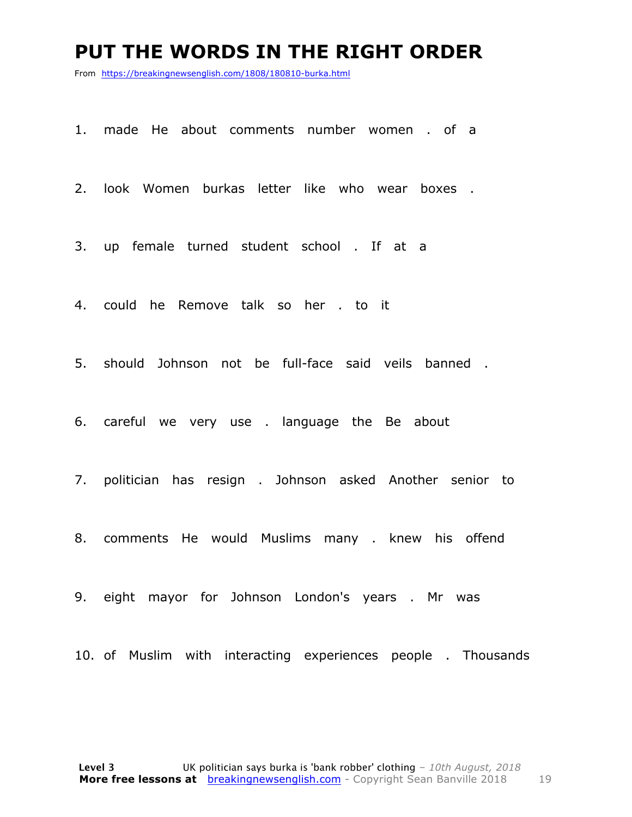#### **PUT THE WORDS IN THE RIGHT ORDER**

From https://breakingnewsenglish.com/1808/180810-burka.html

1. made He about comments number women . of a

2. look Women burkas letter like who wear boxes .

3. up female turned student school . If at a

4. could he Remove talk so her . to it

5. should Johnson not be full-face said veils banned .

6. careful we very use . language the Be about

7. politician has resign . Johnson asked Another senior to

8. comments He would Muslims many . knew his offend

9. eight mayor for Johnson London's years . Mr was

10. of Muslim with interacting experiences people . Thousands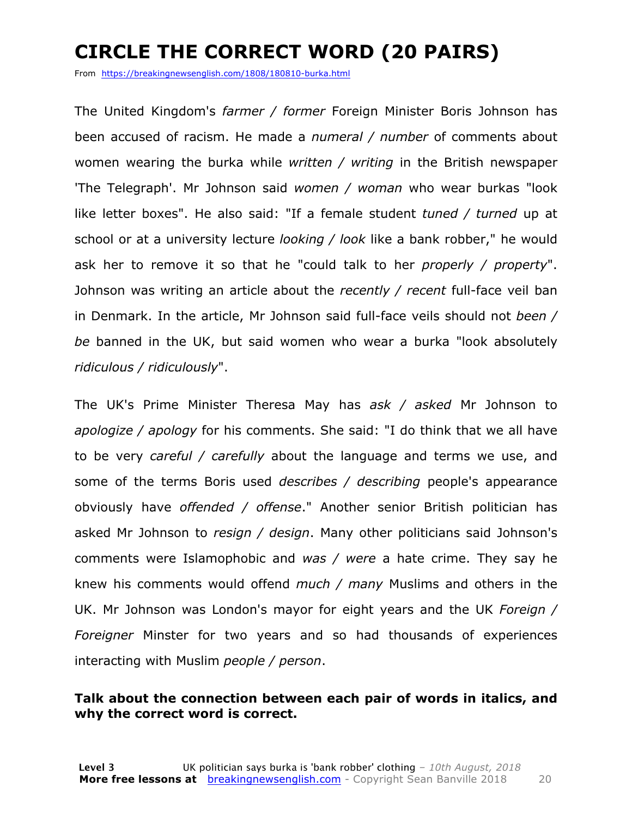### **CIRCLE THE CORRECT WORD (20 PAIRS)**

From https://breakingnewsenglish.com/1808/180810-burka.html

The United Kingdom's *farmer / former* Foreign Minister Boris Johnson has been accused of racism. He made a *numeral / number* of comments about women wearing the burka while *written / writing* in the British newspaper 'The Telegraph'. Mr Johnson said *women / woman* who wear burkas "look like letter boxes". He also said: "If a female student *tuned / turned* up at school or at a university lecture *looking / look* like a bank robber," he would ask her to remove it so that he "could talk to her *properly / property*". Johnson was writing an article about the *recently / recent* full-face veil ban in Denmark. In the article, Mr Johnson said full-face veils should not *been / be* banned in the UK, but said women who wear a burka "look absolutely *ridiculous / ridiculously*".

The UK's Prime Minister Theresa May has *ask / asked* Mr Johnson to *apologize / apology* for his comments. She said: "I do think that we all have to be very *careful / carefully* about the language and terms we use, and some of the terms Boris used *describes / describing* people's appearance obviously have *offended / offense*." Another senior British politician has asked Mr Johnson to *resign / design*. Many other politicians said Johnson's comments were Islamophobic and *was / were* a hate crime. They say he knew his comments would offend *much / many* Muslims and others in the UK. Mr Johnson was London's mayor for eight years and the UK *Foreign / Foreigner* Minster for two years and so had thousands of experiences interacting with Muslim *people / person*.

#### **Talk about the connection between each pair of words in italics, and why the correct word is correct.**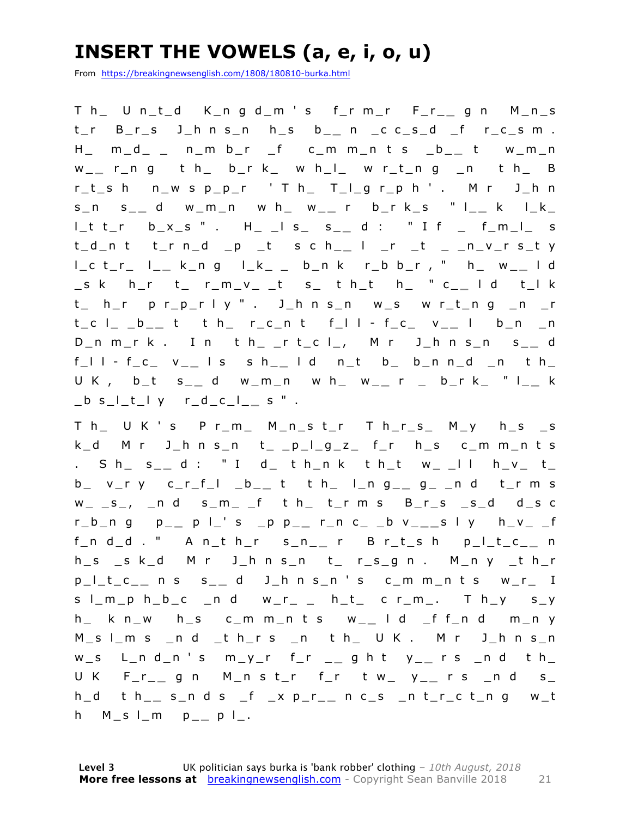### **INSERT THE VOWELS (a, e, i, o, u)**

From https://breakingnewsenglish.com/1808/180810-burka.html

T h\_ U n\_t\_d K\_n g d \_m ' s f\_r m\_r F\_r\_ **\_** g n M\_n\_s t\_r B\_r\_s J\_h n s\_n h\_s b\_ **\_** n \_c c\_s\_d \_f r\_c\_s m . H\_ m\_d\_ \_ n\_m b\_r \_f c\_m m\_n t s \_b\_ **\_** t w\_m\_n w \_ **\_** r\_n g t h\_ b\_r k\_ w h\_l\_ w r\_t\_n g \_n t h\_ B  $r_t$  sh n\_w s p\_p\_r ' T h\_ T\_l\_g r\_p h ' . M r J\_h n s\_n s\_ **\_** d w\_m\_n w h\_ w\_ **\_** r b\_r k\_s " l\_ **\_** k l\_k\_ l\_t t\_r b\_x\_s " . H\_ \_l s\_ s\_ **\_** d : " I f \_ f\_m\_l\_ s t\_d\_n t t\_r n\_d \_p \_t s c h\_ **\_** l \_r \_t \_ \_n\_v\_r s\_t y l\_c t\_r\_ l\_ **\_** k\_n g l\_k\_ \_ b\_n k r\_b b\_r , " h\_ w\_ **\_** l d \_s k h\_r t\_ r\_m\_v\_ \_t s\_ t h\_t h\_ " c\_ **\_** l d t\_l k t\_ h\_r p r\_p\_r l y " . J\_h n s\_n w\_s w r\_t\_n g \_n \_r t\_c l\_ \_b\_ **\_** t t h\_ r\_c\_n t f\_l l - f\_c\_ v\_ **\_** l b\_n \_n D\_n m\_r k . I n t h\_ \_r t\_c l\_, M r J\_h n s\_n s\_ **\_** d f\_l l - f\_c\_ v\_ **\_** l s s h\_ **\_** l d n\_t b\_ b\_n n\_d \_n t h\_ U K , b\_t s\_ **\_** d w\_m\_n w h\_ w\_ **\_** r \_ b\_r k\_ " l\_ **\_** k \_b s\_l\_t\_l y r\_d\_c\_l\_ **\_** s " .

T h U K ' s P r\_m\_ M\_n\_s t\_r T h\_r\_s\_ M\_y h\_s \_s  $k_d$  M r  $J_h$ n s\_n t\_ \_p\_l\_g\_z\_ f\_r h\_s c\_m m\_n t s . S h\_ s\_ **\_** d : " I d\_ t h\_n k t h\_t w\_ \_l l h\_v\_ t\_ b\_ v\_r y c\_r\_f\_l \_b\_ **\_** t t h\_ l\_n g\_ **\_** g\_ \_n d t\_r m s  $w_{-}$   $s_{-}$ ,  $-$ n d  $s_{-}$ m $-$  f t h $-$  t $-$ r m s  $B_{-}$ r $-$ s  $-$ s $-$ d d $-$ s c r\_b\_n g p\_ **\_** p l\_' s \_p p\_ **\_** r\_n c\_ \_b v\_ **\_ \_** s l y h\_v\_ \_f f\_n d\_d . " A n\_t h\_r s\_n\_ **\_** r B r\_t\_s h p\_l\_t\_c\_ **\_** n h\_s \_s k\_d M r J\_h n s\_n t\_ r\_s\_g n . M\_n y \_t h\_r p\_l\_t\_c\_ **\_** n s s\_ **\_** d J\_h n s\_n ' s c\_m m\_n t s w\_r\_ I  $s \mid m_p$  h\_b\_c \_n d w\_r\_ \_ h\_t\_ c r\_m\_. T h\_y s\_y h\_ k n\_w h\_s c\_m m\_n t s w\_ **\_** l d \_f f\_n d m\_n y M\_s l\_m s \_n d \_t h\_r s \_n t h\_ U K . M r J\_h n s\_n w\_s L\_n d\_n ' s m\_y\_r f\_r \_ **\_** g h t y\_ **\_** r s \_n d t h\_ U K F\_r\_ **\_** g n M\_n s t\_r f\_r t w\_ y\_ **\_** r s \_n d s\_ h\_d t h\_ **\_** s\_n d s \_f \_x p\_r\_ **\_** n c\_s \_n t\_r\_c t\_n g w\_t h M\_s l\_m p\_ **\_** p l\_.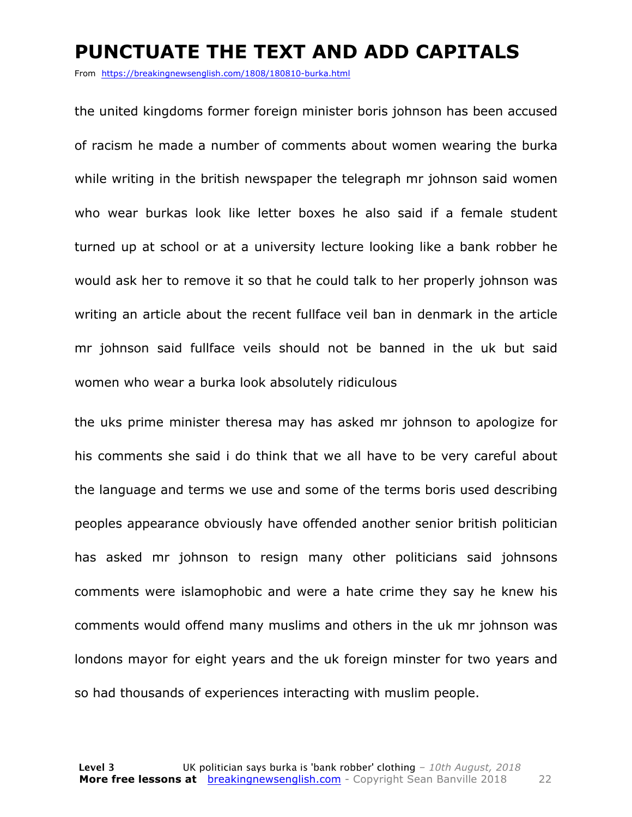#### **PUNCTUATE THE TEXT AND ADD CAPITALS**

From https://breakingnewsenglish.com/1808/180810-burka.html

the united kingdoms former foreign minister boris johnson has been accused of racism he made a number of comments about women wearing the burka while writing in the british newspaper the telegraph mr johnson said women who wear burkas look like letter boxes he also said if a female student turned up at school or at a university lecture looking like a bank robber he would ask her to remove it so that he could talk to her properly johnson was writing an article about the recent fullface veil ban in denmark in the article mr johnson said fullface veils should not be banned in the uk but said women who wear a burka look absolutely ridiculous

the uks prime minister theresa may has asked mr johnson to apologize for his comments she said i do think that we all have to be very careful about the language and terms we use and some of the terms boris used describing peoples appearance obviously have offended another senior british politician has asked mr johnson to resign many other politicians said johnsons comments were islamophobic and were a hate crime they say he knew his comments would offend many muslims and others in the uk mr johnson was londons mayor for eight years and the uk foreign minster for two years and so had thousands of experiences interacting with muslim people.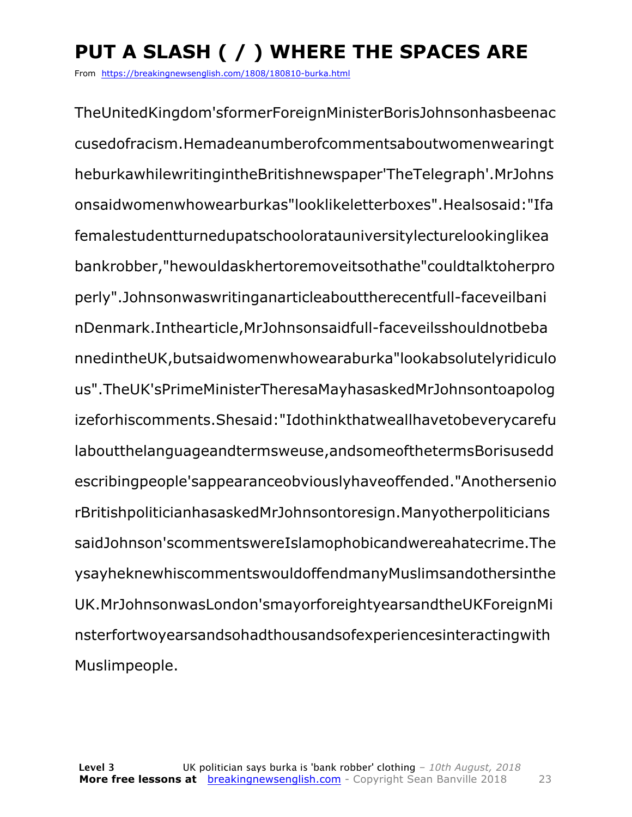### **PUT A SLASH ( / ) WHERE THE SPACES ARE**

From https://breakingnewsenglish.com/1808/180810-burka.html

TheUnitedKingdom'sformerForeignMinisterBorisJohnsonhasbeenac cusedofracism.Hemadeanumberofcommentsaboutwomenwearingt heburkawhilewritingintheBritishnewspaper'TheTelegraph'.MrJohns onsaidwomenwhowearburkas"looklikeletterboxes".Healsosaid:"Ifa femalestudentturnedupatschooloratauniversitylecturelookinglikea bankrobber,"hewouldaskhertoremoveitsothathe"couldtalktoherpro perly".Johnsonwaswritinganarticleabouttherecentfull-faceveilbani nDenmark.Inthearticle,MrJohnsonsaidfull-faceveilsshouldnotbeba nnedintheUK,butsaidwomenwhowearaburka"lookabsolutelyridiculo us".TheUK'sPrimeMinisterTheresaMayhasaskedMrJohnsontoapolog izeforhiscomments.Shesaid:"Idothinkthatweallhavetobeverycarefu laboutthelanguageandtermsweuse,andsomeofthetermsBorisusedd escribingpeople'sappearanceobviouslyhaveoffended."Anothersenio rBritishpoliticianhasaskedMrJohnsontoresign.Manyotherpoliticians saidJohnson'scommentswereIslamophobicandwereahatecrime.The ysayheknewhiscommentswouldoffendmanyMuslimsandothersinthe UK.MrJohnsonwasLondon'smayorforeightyearsandtheUKForeignMi nsterfortwoyearsandsohadthousandsofexperiencesinteractingwith Muslimpeople.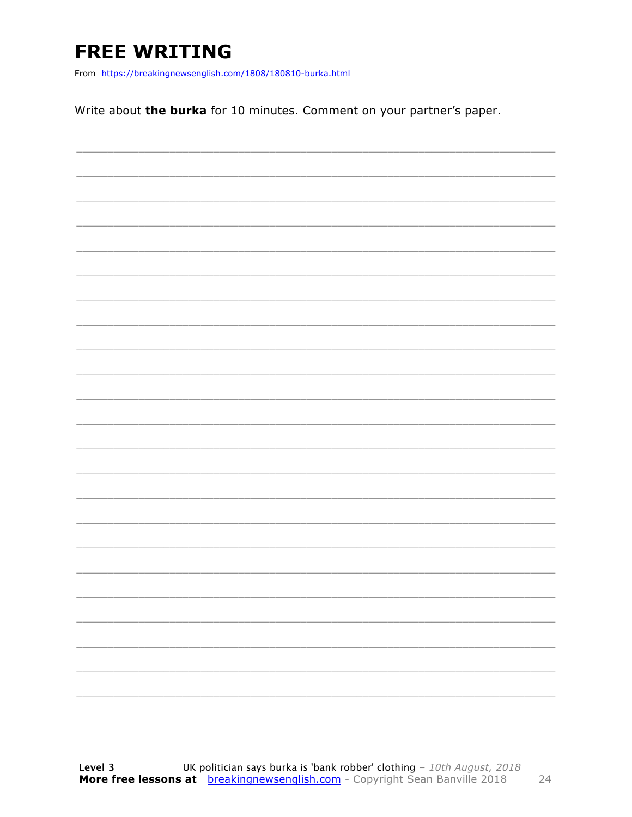### **FREE WRITING**

From https://breakingnewsenglish.com/1808/180810-burka.html

Write about the burka for 10 minutes. Comment on your partner's paper.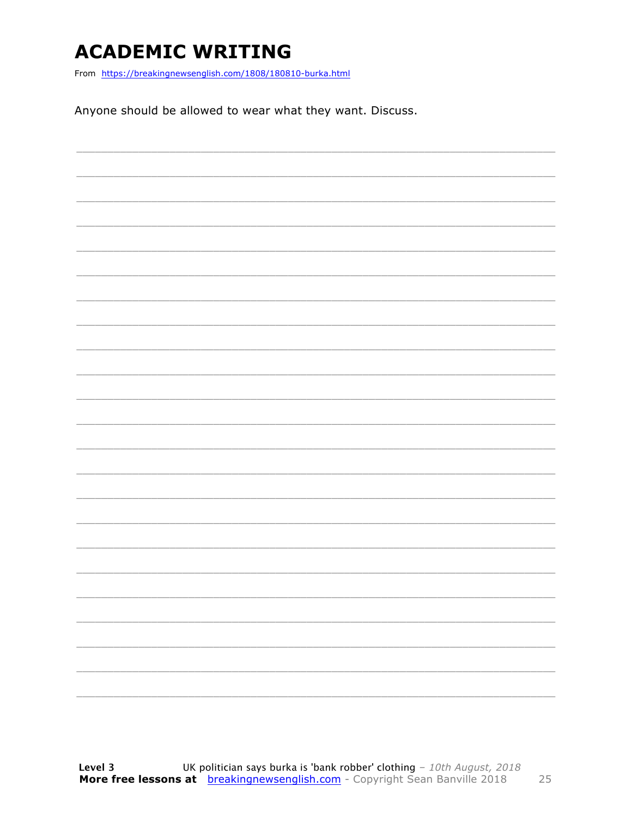### **ACADEMIC WRITING**

From https://breakingnewsenglish.com/1808/180810-burka.html

Anyone should be allowed to wear what they want. Discuss.

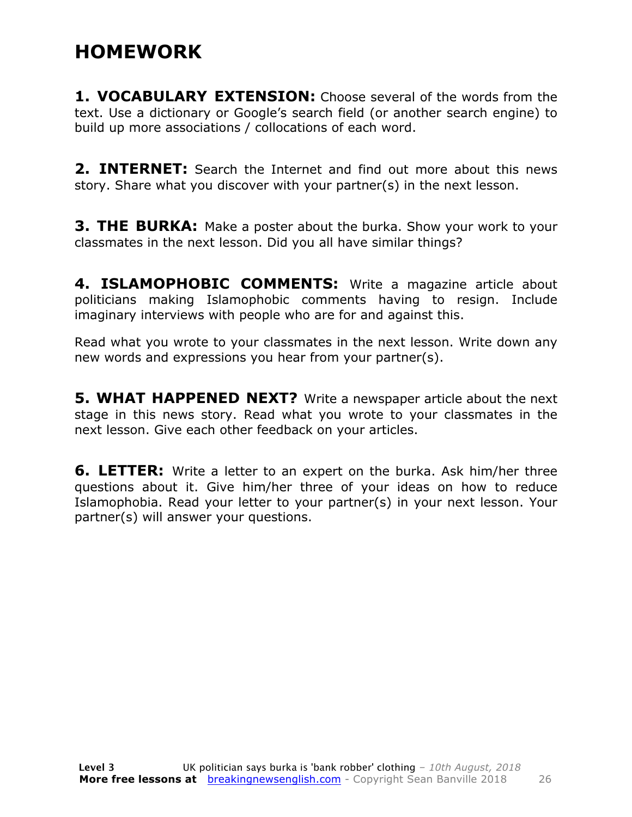### **HOMEWORK**

**1. VOCABULARY EXTENSION:** Choose several of the words from the text. Use a dictionary or Google's search field (or another search engine) to build up more associations / collocations of each word.

**2. INTERNET:** Search the Internet and find out more about this news story. Share what you discover with your partner(s) in the next lesson.

**3. THE BURKA:** Make a poster about the burka. Show your work to your classmates in the next lesson. Did you all have similar things?

**4. ISLAMOPHOBIC COMMENTS:** Write a magazine article about politicians making Islamophobic comments having to resign. Include imaginary interviews with people who are for and against this.

Read what you wrote to your classmates in the next lesson. Write down any new words and expressions you hear from your partner(s).

**5. WHAT HAPPENED NEXT?** Write a newspaper article about the next stage in this news story. Read what you wrote to your classmates in the next lesson. Give each other feedback on your articles.

**6. LETTER:** Write a letter to an expert on the burka. Ask him/her three questions about it. Give him/her three of your ideas on how to reduce Islamophobia. Read your letter to your partner(s) in your next lesson. Your partner(s) will answer your questions.